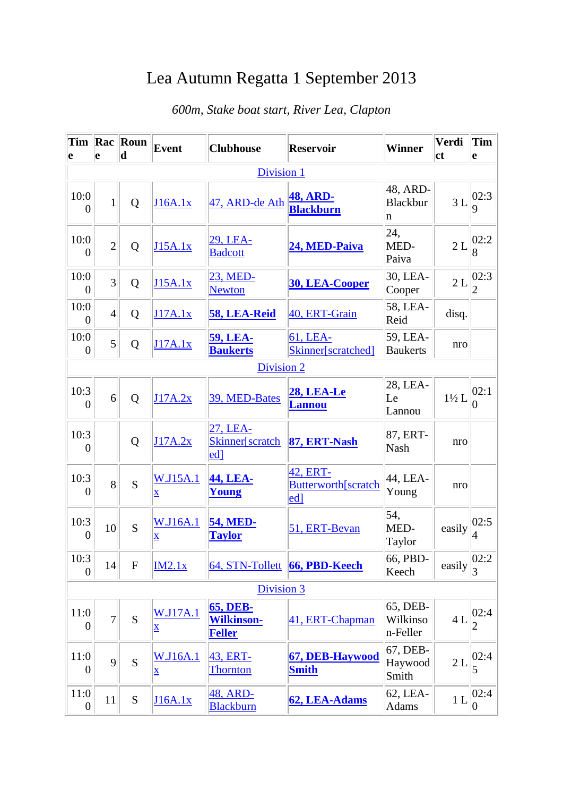## Lea Autumn Regatta 1 September 2013

| Tim<br>e               | Rac<br>e       | Roun<br>$\mathbf d$ | Event                                 | <b>Clubhouse</b>                                      | <b>Reservoir</b>                                        | <b>Winner</b>                    | Verdi<br><b>ct</b> | <b>Tim</b><br>le        |  |  |
|------------------------|----------------|---------------------|---------------------------------------|-------------------------------------------------------|---------------------------------------------------------|----------------------------------|--------------------|-------------------------|--|--|
| Division 1             |                |                     |                                       |                                                       |                                                         |                                  |                    |                         |  |  |
| 10:0<br>$\overline{0}$ | $\mathbf{1}$   | Q                   | J16A.1x                               | 47, ARD-de Ath                                        | <b>48, ARD-</b><br><b>Blackburn</b>                     | 48, ARD-<br><b>Blackbur</b><br>n | 3L                 | 02:3<br><b>g</b>        |  |  |
| 10:0<br>$\overline{0}$ | $\overline{2}$ | Q                   | J15A.1x                               | 29, LEA-<br><b>Badcott</b>                            | 24, MED-Paiva                                           | 24,<br>MED-<br>Paiva             | 2L                 | 02:2                    |  |  |
| 10:0<br>$\overline{0}$ | $\overline{3}$ | Q                   | J15A.1x                               | 23, MED-<br><b>Newton</b>                             | <b>30, LEA-Cooper</b>                                   | 30, LEA-<br>Cooper               | 2L                 | 02:3<br>2               |  |  |
| 10:0<br>$\overline{0}$ | $\overline{4}$ | Q                   | J17A.1x                               | 58, LEA-Reid                                          | 40, ERT-Grain                                           | 58, LEA-<br>Reid                 | disq.              |                         |  |  |
| 10:0<br>$\overline{0}$ | $\overline{5}$ | Q                   | J17A.1x                               | <b>59, LEA-</b><br><b>Baukerts</b>                    | 61, LEA-<br>Skinner[scratched]                          | 59, LEA-<br><b>Baukerts</b>      | nro                |                         |  |  |
|                        |                |                     |                                       | <b>Division 2</b>                                     |                                                         |                                  |                    |                         |  |  |
| 10:3<br>$\theta$       | 6              | Q                   | J17A.2x                               | 39, MED-Bates                                         | <b>28, LEA-Le</b><br><b>Lannou</b>                      | 28, LEA-<br>Le<br>Lannou         | $1\frac{1}{2}L$    | 02:1<br>0               |  |  |
| 10:3<br>$\overline{0}$ |                | Q                   | J17A.2x                               | 27, LEA-<br>Skinner[scratch<br>edl                    | 87, ERT-Nash                                            | 87, ERT-<br><b>Nash</b>          | nro                |                         |  |  |
| 10:3<br>0              | 8              | S                   | W.J15A.1<br>$\overline{\mathbf{X}}$   | 44, LEA-<br>Young                                     | 42, ERT-<br>Butterworth[scratch<br>$\lfloor ed \rfloor$ | 44, LEA-<br>Young                | nro                |                         |  |  |
| 10:3<br>$\overline{0}$ | 10             | S                   | W.J16A.1<br>$\mathbf X$               | <b>54, MED-</b><br><b>Taylor</b>                      | 51, ERT-Bevan                                           | 54,<br>MED-<br>Taylor            | easily             | 02:5<br>14              |  |  |
| 10:3<br>$\overline{0}$ | 14             | ${\bf F}$           | IM2.1x                                |                                                       | 64, STN-Tollett 66, PBD-Keech                           | 66, PBD-<br>Keech                | easily             | 02:2                    |  |  |
| Division 3             |                |                     |                                       |                                                       |                                                         |                                  |                    |                         |  |  |
| 11:0<br>$\overline{0}$ | $\overline{7}$ | S                   | <b>W.J17A.1</b><br>$\bar{\mathbf{X}}$ | <b>65, DEB-</b><br><b>Wilkinson-</b><br><b>Feller</b> | 41, ERT-Chapman                                         | 65, DEB-<br>Wilkinso<br>n-Feller | 4L                 | 02:4<br>$\overline{2}$  |  |  |
| 11:0<br>$\overline{0}$ | 9              | $\overline{S}$      | <b>W.J16A.1</b><br>$\bar{\mathbf{X}}$ | 43, ERT-<br><b>Thornton</b>                           | 67, DEB-Haywood<br><b>Smith</b>                         | 67, DEB-<br>Haywood<br>Smith     | 2L                 | 02:4<br>5               |  |  |
| 11:0<br>$\overline{0}$ | 11             | S                   | J16A.1x                               | 48, ARD-<br><b>Blackburn</b>                          | 62, LEA-Adams                                           | 62, LEA-<br><b>Adams</b>         | 1 <sub>L</sub>     | 02:4<br>$\vert 0 \vert$ |  |  |

## *600m, Stake boat start, River Lea, Clapton*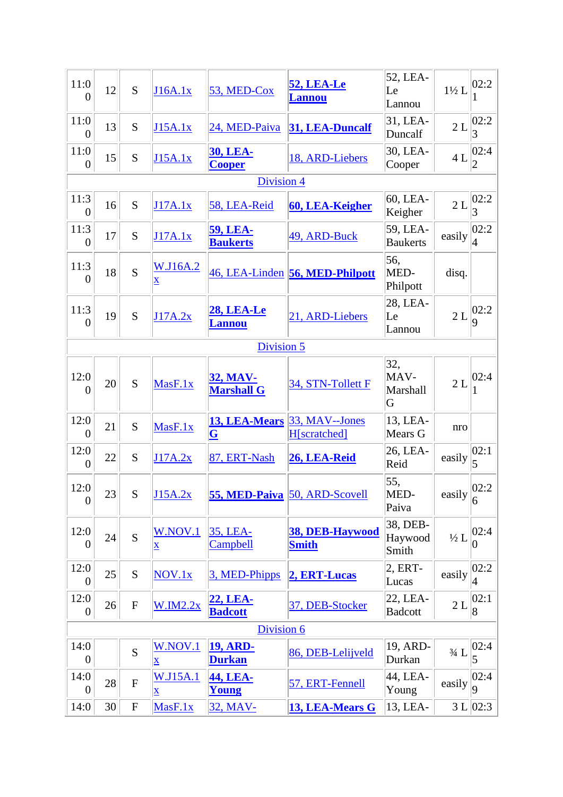| 11:0<br>$\theta$         | 12 | S                         | J16A.1x                                    | 53, MED-Cox                          | <b>52, LEA-Le</b><br><b>Lannou</b> | 52, LEA-<br>Le<br>Lannou     | $1\frac{1}{2}L$                       | 02:2                   |  |
|--------------------------|----|---------------------------|--------------------------------------------|--------------------------------------|------------------------------------|------------------------------|---------------------------------------|------------------------|--|
| 11:0<br>$\theta$         | 13 | S                         | J15A.1x                                    | 24, MED-Paiva                        | 31, LEA-Duncalf                    | 31, LEA-<br>Duncalf          | 2L                                    | 02:2<br>3              |  |
| 11:0<br>$\overline{0}$   | 15 | S                         | J15A.1x                                    | <b>30, LEA-</b><br><b>Cooper</b>     | 18, ARD-Liebers                    | 30, LEA-<br>Cooper           | 4L                                    | 02:4 <br>2             |  |
|                          |    |                           |                                            | <b>Division 4</b>                    |                                    |                              |                                       |                        |  |
| 11:3<br>$\overline{0}$   | 16 | S                         | J17A.1x                                    | 58, LEA-Reid                         | 60, LEA-Keigher                    | 60, LEA-<br>Keigher          | 2L                                    | 02:2<br>3              |  |
| 11:3<br>$\overline{0}$   | 17 | S                         | J17A.1x                                    | <b>59, LEA-</b><br><b>Baukerts</b>   | 49, ARD-Buck                       | 59, LEA-<br><b>Baukerts</b>  | easily                                | 02:2<br>$\overline{4}$ |  |
| 11:3<br>$\overline{0}$   | 18 | S                         | W.J16A.2<br>$\underline{\mathbf{X}}$       |                                      | 46, LEA-Linden 56, MED-Philpott    | 56,<br>MED-<br>Philpott      | disq.                                 |                        |  |
| 11:3<br>$\overline{0}$   | 19 | S                         | J17A.2x                                    | <b>28, LEA-Le</b><br><b>Lannou</b>   | 21, ARD-Liebers                    | 28, LEA-<br>Le<br>Lannou     | 2L                                    | 02:2<br>9              |  |
|                          |    |                           |                                            | Division 5                           |                                    |                              |                                       |                        |  |
| 12:0<br>$\Omega$         | 20 | S                         | MasF.1x                                    | <u>32, MAV-</u><br><b>Marshall G</b> | 34, STN-Tollett F                  | 32,<br>MAV-<br>Marshall<br>G | 2L                                    | 02:4                   |  |
| 12:0<br>$\overline{0}$   | 21 | S                         | MasF.1x                                    | 13, LEA-Mears<br>$ \mathbf{G} $      | 33, MAV--Jones<br>H[scratched]     | 13, LEA-<br>Mears G          | nro                                   |                        |  |
| 12:0<br>$\theta$         | 22 | S                         | J17A.2x                                    | 87, ERT-Nash                         | 26, LEA-Reid                       | 26, LEA-<br>Reid             | easily                                | 02:1<br>5              |  |
| 12:0<br>$\boldsymbol{0}$ | 23 | ${\bf S}$                 | J15A.2x                                    | 55, MED-Paiva                        | 50, ARD-Scovell                    | 55,<br>MED-<br>Paiva         | easily $\left\  \frac{6}{6} \right\ $ | 02:2                   |  |
| 12:0<br>$\overline{0}$   | 24 | S                         | W.NOV.1<br>$\underline{\mathbf{X}}$        | 35, LEA-<br>Campbell                 | 38, DEB-Haywood<br><b>Smith</b>    | 38, DEB-<br>Haywood<br>Smith | $\frac{1}{2}$ L                       | 02:4<br>0              |  |
| 12:0<br>$\overline{0}$   | 25 | S                         | NOV.1x                                     | 3, MED-Phipps                        | 2, ERT-Lucas                       | $2, ERT-$<br>Lucas           | easily                                | 02:2<br>4              |  |
| 12:0<br>$\overline{0}$   | 26 | ${\bf F}$                 | W.IM2.2x                                   | 22, LEA-<br><b>Badcott</b>           | 37, DEB-Stocker                    | 22, LEA-<br><b>Badcott</b>   | 2L                                    | 02:1<br>$\overline{8}$ |  |
| Division 6               |    |                           |                                            |                                      |                                    |                              |                                       |                        |  |
| 14:0<br>$\overline{0}$   |    | S                         | W.NOV.1<br>$\underline{\mathbf{X}}$        | <b>19, ARD-</b><br><b>Durkan</b>     | 86, DEB-Lelijveld                  | 19, ARD-<br>Durkan           | $3/4 \ {\rm L}$                       | 02:4 <br>5             |  |
| 14:0<br>$\overline{0}$   | 28 | $\boldsymbol{\mathrm{F}}$ | <b>W.J15A.1</b><br>$\overline{\mathbf{X}}$ | 44, LEA-<br>Young                    | 57, ERT-Fennell                    | 44, LEA-<br>Young            | easily                                | 02:4<br>$ 9\rangle$    |  |
| 14:0                     | 30 | ${\bf F}$                 | MasF.1x                                    | 32, MAV-                             | 13, LEA-Mears G                    | 13, LEA-                     |                                       | 3 L   02:3             |  |